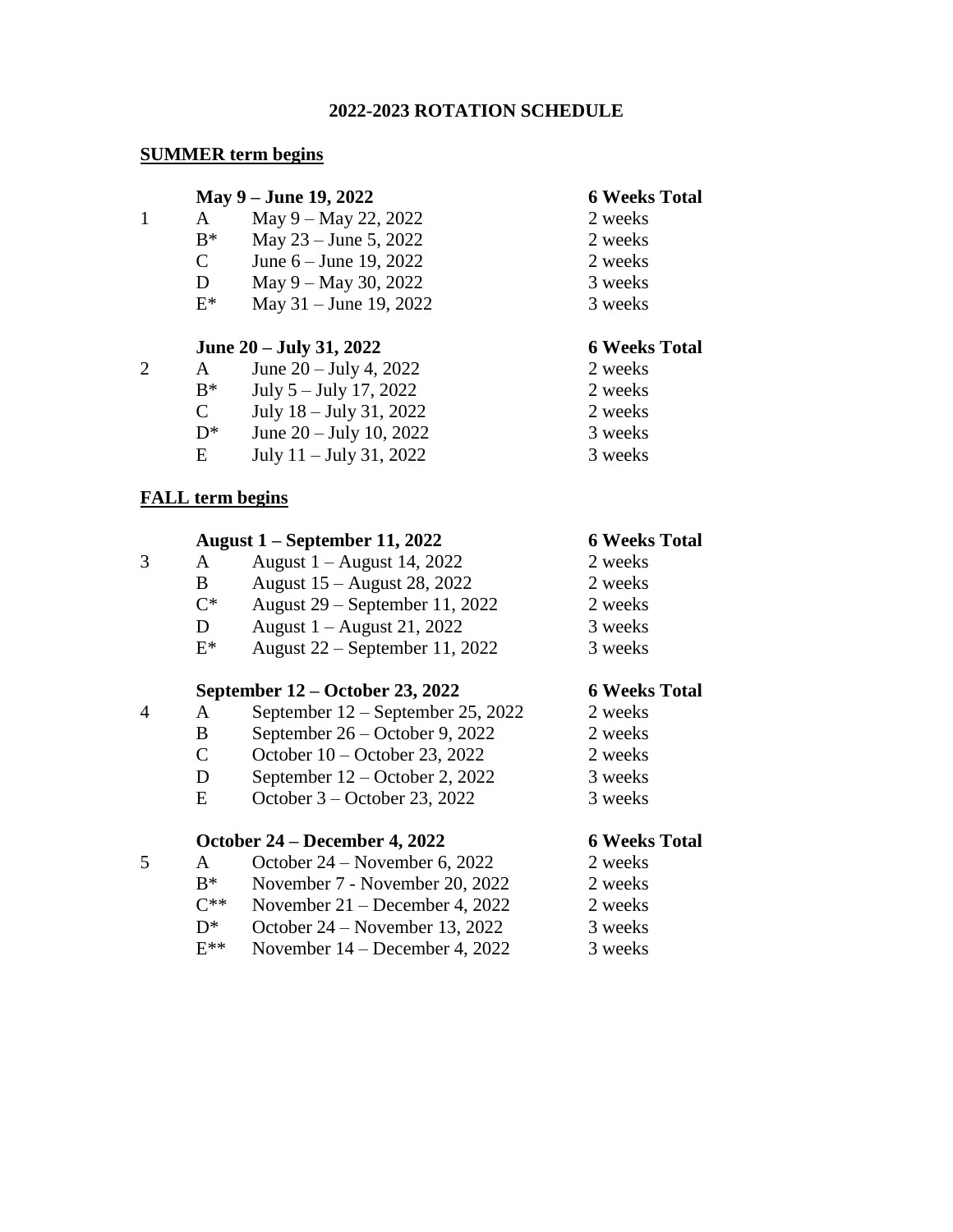## **2022-2023 ROTATION SCHEDULE**

## **SUMMER term begins**

### **May 9 – June 19, 2022 6 Weeks Total**

- 1 A May  $9 -$ May  $22$ ,  $2022$  2 weeks
	- $B^*$  May 23 June 5, 2022 2 weeks
	- C June  $6 -$  June  $19, 2022$  2 weeks
	- D May 9 May 30, 2022 3 weeks
	- $E^*$  May 31 June 19, 2022 3 weeks

# **June 20 – July 31, 2022 6 Weeks Total**

- 2 A June  $20 \text{July } 4, 2022$  2 weeks
	- $B^*$  July 5 July 17, 2022 2 weeks
	- C July  $18 \text{July } 31, 2022$  2 weeks
	- $D^*$  June 20 July 10, 2022 3 weeks
	- E July  $11 -$  July  $31, 2022$  3 weeks

# **FALL term begins**

## **August 1 – September 11, 2022 6 Weeks Total**

- $3$  A August 1 August 14, 2022 2 weeks
	- B August  $15 -$ August  $28$ ,  $2022$  2 weeks
		- $C^*$  August 29 September 11, 2022 2 weeks
		- D August  $1 -$  August  $21, 2022$  3 weeks
		- $E^*$  August 22 September 11, 2022 3 weeks

# **September 12 – October 23, 2022 6 Weeks Total**

- 4 A September 12 September 25, 2022 2 weeks
	- B September  $26 -$ October 9, 2022 2 weeks
	- C October  $10 \text{October } 23, 2022$  2 weeks
	- D September 12 October 2, 2022 3 weeks
	- E October  $3 -$ October 23, 2022 3 weeks

# **October 24 – December 4, 2022 6 Weeks Total**

- 5 A October  $24$  November 6, 2022 2 weeks
	- $B^*$  November 7 November 20, 2022 2 weeks
	- $C^{**}$  November 21 December 4, 2022 2 weeks
	- $D^*$  October 24 November 13, 2022 3 weeks
	- $E^{**}$  November 14 December 4, 2022 3 weeks

- 
- 
- 
- 
- 

- 
- 
- 
- 
- 

- 
- 
- 
- 
- 

- 
- 
- 
- 
- 

- 
- 
- 
- 
-